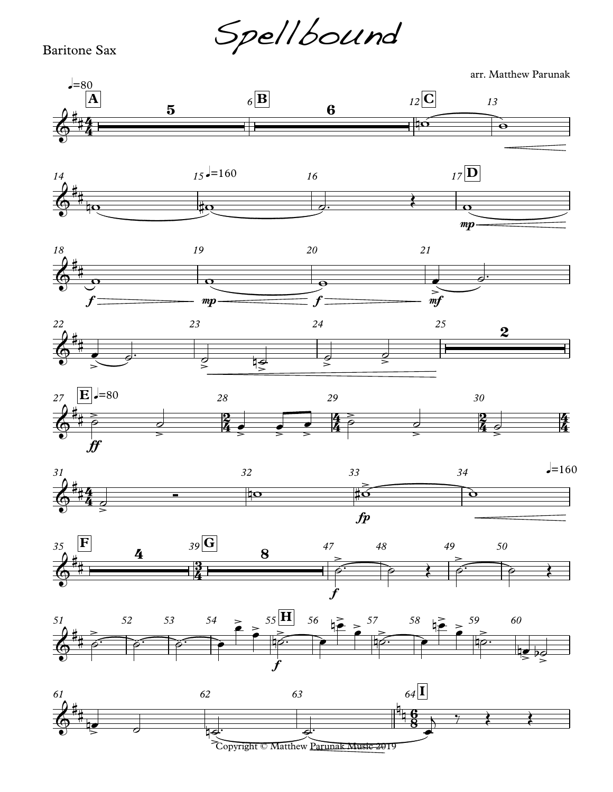Spellbound

Baritone Sax

arr. Matthew Parunak



Copyright © Matthew <u>Parunak Music 2019</u>